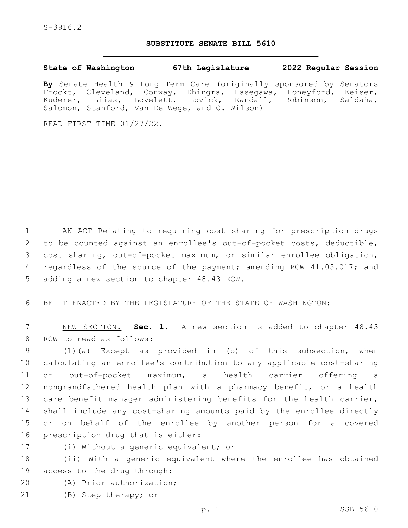## **SUBSTITUTE SENATE BILL 5610**

**State of Washington 67th Legislature 2022 Regular Session**

**By** Senate Health & Long Term Care (originally sponsored by Senators Frockt, Cleveland, Conway, Dhingra, Hasegawa, Honeyford, Keiser,<br>Kuderer, Liias, Lovelett, Lovick, Randall, Robinson, Saldaña, Kuderer, Liias, Lovelett, Lovick, Salomon, Stanford, Van De Wege, and C. Wilson)

READ FIRST TIME 01/27/22.

1 AN ACT Relating to requiring cost sharing for prescription drugs 2 to be counted against an enrollee's out-of-pocket costs, deductible, 3 cost sharing, out-of-pocket maximum, or similar enrollee obligation, 4 regardless of the source of the payment; amending RCW 41.05.017; and 5 adding a new section to chapter 48.43 RCW.

6 BE IT ENACTED BY THE LEGISLATURE OF THE STATE OF WASHINGTON:

7 NEW SECTION. **Sec. 1.** A new section is added to chapter 48.43 8 RCW to read as follows:

 (1)(a) Except as provided in (b) of this subsection, when calculating an enrollee's contribution to any applicable cost-sharing or out-of-pocket maximum, a health carrier offering a nongrandfathered health plan with a pharmacy benefit, or a health 13 care benefit manager administering benefits for the health carrier, shall include any cost-sharing amounts paid by the enrollee directly or on behalf of the enrollee by another person for a covered 16 prescription drug that is either:

17 (i) Without a generic equivalent; or

18 (ii) With a generic equivalent where the enrollee has obtained 19 access to the drug through:

20 (A) Prior authorization;

21 (B) Step therapy; or